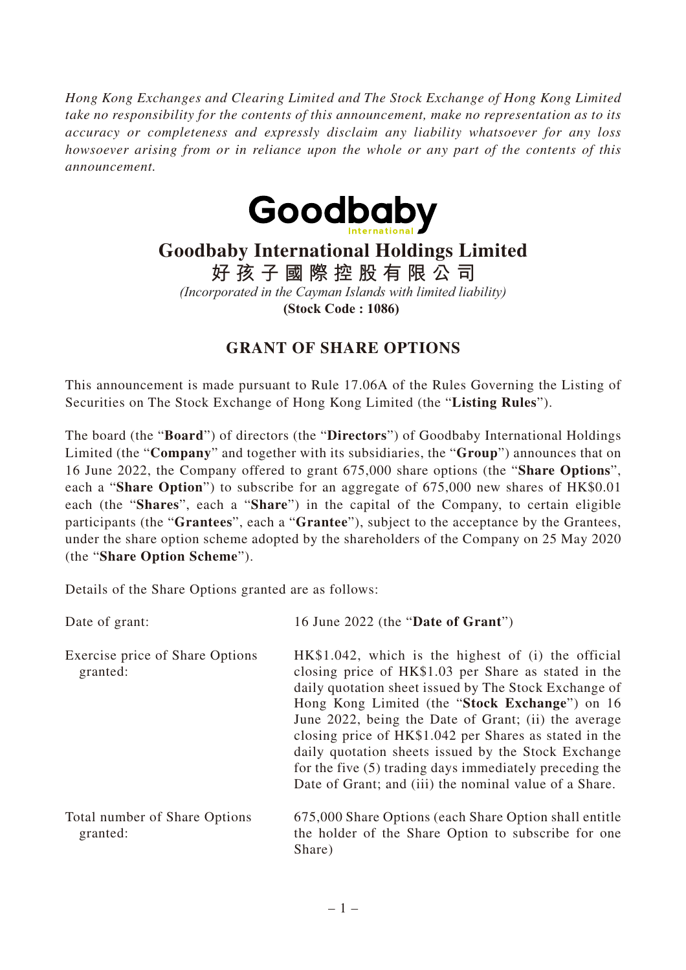*Hong Kong Exchanges and Clearing Limited and The Stock Exchange of Hong Kong Limited take no responsibility for the contents of this announcement, make no representation as to its accuracy or completeness and expressly disclaim any liability whatsoever for any loss howsoever arising from or in reliance upon the whole or any part of the contents of this announcement.*



## **Goodbaby International Holdings Limited**

**好孩子國際控股有限公司**

*(Incorporated in the Cayman Islands with limited liability)* **(Stock Code : 1086)** 

## **GRANT OF SHARE OPTIONS**

This announcement is made pursuant to Rule 17.06A of the Rules Governing the Listing of Securities on The Stock Exchange of Hong Kong Limited (the "**Listing Rules**").

The board (the "**Board**") of directors (the "**Directors**") of Goodbaby International Holdings Limited (the "**Company**" and together with its subsidiaries, the "**Group**") announces that on 16 June 2022, the Company offered to grant 675,000 share options (the "**Share Options**", each a "**Share Option**") to subscribe for an aggregate of 675,000 new shares of HK\$0.01 each (the "**Shares**", each a "**Share**") in the capital of the Company, to certain eligible participants (the "**Grantees**", each a "**Grantee**"), subject to the acceptance by the Grantees, under the share option scheme adopted by the shareholders of the Company on 25 May 2020 (the "**Share Option Scheme**").

Details of the Share Options granted are as follows:

| Date of grant:                              | 16 June 2022 (the "Date of Grant")                                                                                                                                                                                                                                                                                                                                                                                                                                                                                     |
|---------------------------------------------|------------------------------------------------------------------------------------------------------------------------------------------------------------------------------------------------------------------------------------------------------------------------------------------------------------------------------------------------------------------------------------------------------------------------------------------------------------------------------------------------------------------------|
| Exercise price of Share Options<br>granted: | $HK$1.042$ , which is the highest of (i) the official<br>closing price of HK\$1.03 per Share as stated in the<br>daily quotation sheet issued by The Stock Exchange of<br>Hong Kong Limited (the "Stock Exchange") on 16<br>June 2022, being the Date of Grant; (ii) the average<br>closing price of HK\$1.042 per Shares as stated in the<br>daily quotation sheets issued by the Stock Exchange<br>for the five (5) trading days immediately preceding the<br>Date of Grant; and (iii) the nominal value of a Share. |
| Total number of Share Options<br>granted:   | 675,000 Share Options (each Share Option shall entitle<br>the holder of the Share Option to subscribe for one<br>Share)                                                                                                                                                                                                                                                                                                                                                                                                |